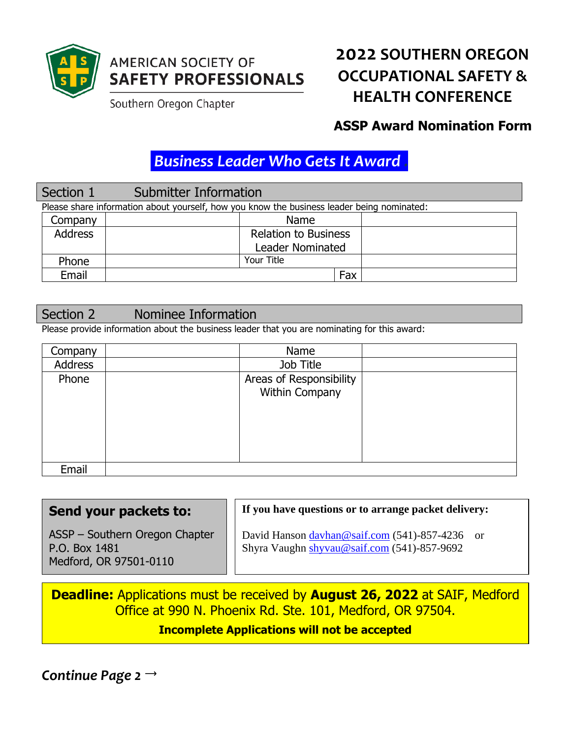

## **AMERICAN SOCIETY OF SAFETY PROFESSIONALS**

Southern Oregon Chapter

# **2022 SOUTHERN OREGON OCCUPATIONAL SAFETY & HEALTH CONFERENCE**

## **ASSP Award Nomination Form**

# *Business Leader Who Gets It Award .*

### Section 1 Submitter Information Please share information about yourself, how you know the business leader being nominated: Company | Name Address Relation to Business Leader Nominated Phone | Your Title Email Fax

## Section 2 Nominee Information

Please provide information about the business leader that you are nominating for this award:

| Company | Name                    |  |
|---------|-------------------------|--|
| Address | Job Title               |  |
| Phone   | Areas of Responsibility |  |
|         | Within Company          |  |
|         |                         |  |
|         |                         |  |
|         |                         |  |
|         |                         |  |
| Email   |                         |  |

#### **Send your packets to:** ASSP – Southern Oregon Chapter P.O. Box 1481 Medford, OR 97501-0110 **If you have questions or to arrange packet delivery:** David Hanson [davhan@saif.com](mailto:davhan@saif.com) (541)-857-4236 or Shyra Vaughn [shyvau@saif.com](mailto:shyvau@saif.com) (541)-857-9692

**Deadline:** Applications must be received by **August 26, 2022** at SAIF, Medford Office at 990 N. Phoenix Rd. Ste. 101, Medford, OR 97504. **Incomplete Applications will not be accepted**

*Continue Page 2*